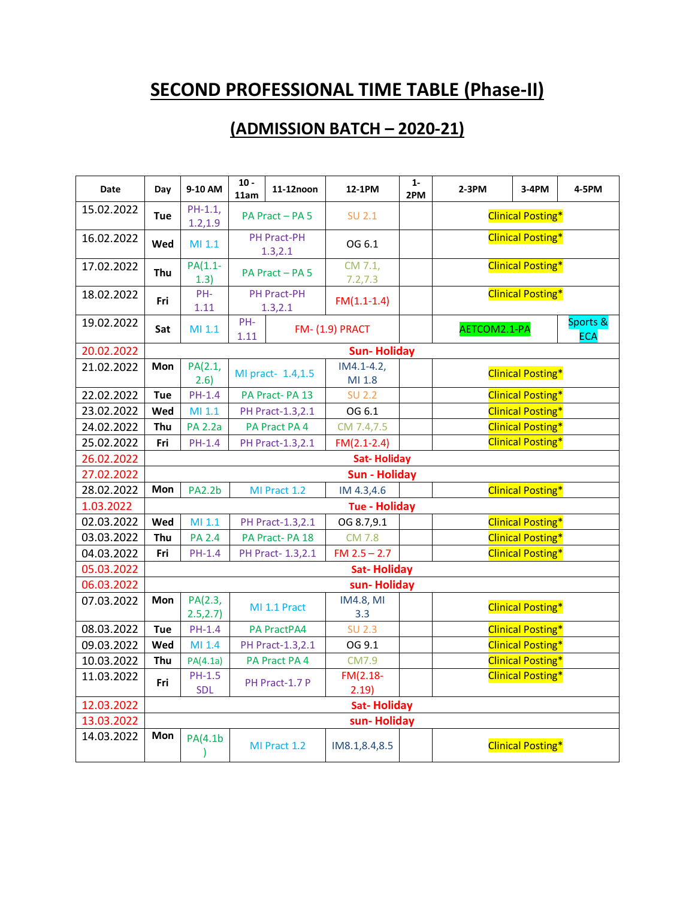# **SECOND PROFESSIONAL TIME TABLE (Phase-II)**

## **(ADMISSION BATCH – 2020-21)**

| <b>Date</b> | Day        | 9-10 AM               | $10 -$<br>11am | 11-12noon                      | 12-1PM                   | $1 -$<br>2PM | $2-3PM$                  | $3-4PM$                  | 4-5PM                  |  |
|-------------|------------|-----------------------|----------------|--------------------------------|--------------------------|--------------|--------------------------|--------------------------|------------------------|--|
| 15.02.2022  | Tue        | $PH-1.1,$<br>1.2, 1.9 |                | PA Pract - PA 5                | <b>SU 2.1</b>            |              |                          | <b>Clinical Posting*</b> |                        |  |
| 16.02.2022  | Wed        | MI 1.1                |                | PH Pract-PH<br>1.3, 2.1        | OG 6.1                   |              |                          | <b>Clinical Posting*</b> |                        |  |
| 17.02.2022  | Thu        | $PA(1.1-$<br>1.3)     |                | PA Pract - PA 5                | CM 7.1,<br>7.2, 7.3      |              |                          | <b>Clinical Posting*</b> |                        |  |
| 18.02.2022  | Fri        | PH-<br>1.11           |                | <b>PH Pract-PH</b><br>1.3, 2.1 | $FM(1.1-1.4)$            |              | <b>Clinical Posting*</b> |                          |                        |  |
| 19.02.2022  | Sat        | MI 1.1                | PH-<br>1.11    |                                | <b>FM- (1.9) PRACT</b>   |              | AETCOM2.1-PA             |                          | Sports &<br><b>ECA</b> |  |
| 20.02.2022  |            |                       |                |                                | <b>Sun-Holiday</b>       |              |                          |                          |                        |  |
| 21.02.2022  | <b>Mon</b> | PA(2.1,<br>2.6)       |                | MI pract- 1.4,1.5              | $IM4.1 - 4.2,$<br>MI 1.8 |              |                          | <b>Clinical Posting*</b> |                        |  |
| 22.02.2022  | <b>Tue</b> | $PH-1.4$              |                | PA Pract-PA 13                 | <b>SU 2.2</b>            |              |                          | <b>Clinical Posting*</b> |                        |  |
| 23.02.2022  | Wed        | MI 1.1                |                | PH Pract-1.3,2.1               | OG 6.1                   |              |                          | <b>Clinical Posting*</b> |                        |  |
| 24.02.2022  | Thu        | <b>PA 2.2a</b>        |                | PA Pract PA 4                  | CM 7.4,7.5               |              |                          | <b>Clinical Posting*</b> |                        |  |
| 25.02.2022  | Fri        | PH-1.4                |                | PH Pract-1.3,2.1               | $FM(2.1-2.4)$            |              |                          | <b>Clinical Posting*</b> |                        |  |
| 26.02.2022  |            |                       |                |                                | <b>Sat-Holiday</b>       |              |                          |                          |                        |  |
| 27.02.2022  |            |                       |                |                                | <b>Sun - Holiday</b>     |              |                          |                          |                        |  |
| 28.02.2022  | Mon        | <b>PA2.2b</b>         |                | MI Pract 1.2                   | IM 4.3,4.6               |              |                          | <b>Clinical Posting*</b> |                        |  |
| 1.03.2022   |            |                       |                |                                | <b>Tue - Holiday</b>     |              |                          |                          |                        |  |
| 02.03.2022  | Wed        | MI 1.1                |                | PH Pract-1.3,2.1               | OG 8.7,9.1               |              |                          | <b>Clinical Posting*</b> |                        |  |
| 03.03.2022  | Thu        | <b>PA 2.4</b>         |                | PA Pract-PA 18                 | <b>CM 7.8</b>            |              |                          | <b>Clinical Posting*</b> |                        |  |
| 04.03.2022  | Fri        | PH-1.4                |                | PH Pract- 1.3, 2.1             | $FM 2.5 - 2.7$           |              |                          | <b>Clinical Posting*</b> |                        |  |
| 05.03.2022  |            |                       |                |                                | <b>Sat-Holiday</b>       |              |                          |                          |                        |  |
| 06.03.2022  |            |                       |                |                                | sun-Holiday              |              |                          |                          |                        |  |
| 07.03.2022  | Mon        | PA(2.3,<br>2.5, 2.7)  |                | MI 1.1 Pract                   | <b>IM4.8, MI</b><br>3.3  |              |                          | <b>Clinical Posting*</b> |                        |  |
| 08.03.2022  | <b>Tue</b> | $PH-1.4$              |                | PA PractPA4                    | <b>SU 2.3</b>            |              |                          | <b>Clinical Posting*</b> |                        |  |
| 09.03.2022  | Wed        | MI 1.4                |                | PH Pract-1.3,2.1               | OG 9.1                   |              |                          | <b>Clinical Posting*</b> |                        |  |
| 10.03.2022  | Thu        | PA(4.1a)              |                | PA Pract PA 4                  | CM7.9                    |              |                          | <b>Clinical Posting*</b> |                        |  |
| 11.03.2022  | Fri        | PH-1.5<br>SDL         |                | PH Pract-1.7 P                 | $FM(2.18-$<br>2.19)      |              |                          | <b>Clinical Posting*</b> |                        |  |
| 12.03.2022  |            |                       |                |                                | <b>Sat-Holiday</b>       |              |                          |                          |                        |  |
| 13.03.2022  |            |                       |                |                                | sun-Holiday              |              |                          |                          |                        |  |
| 14.03.2022  | Mon        | PA(4.1b               |                | MI Pract 1.2                   | IM8.1,8.4,8.5            |              |                          | <b>Clinical Posting*</b> |                        |  |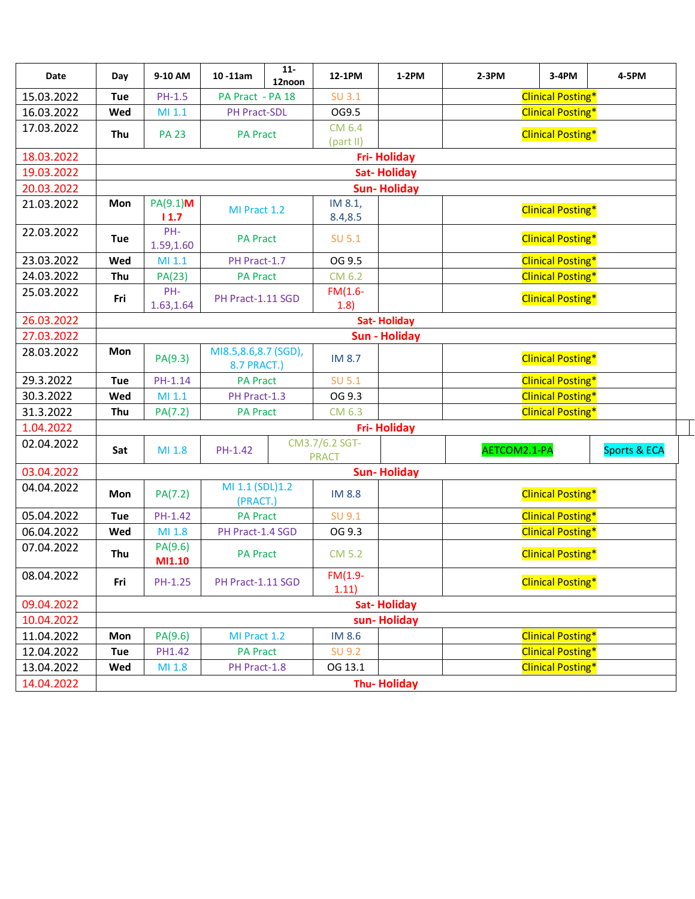| Date       | Day        | 9-10 AM           | $11-$<br>$10 - 11$ am<br>12noon     | 12-1PM                         | $1-2PM$            | 2-3PM        | 3-4PM                    | 4-5PM        |
|------------|------------|-------------------|-------------------------------------|--------------------------------|--------------------|--------------|--------------------------|--------------|
| 15.03.2022 | Tue        | PH-1.5            | PA Pract - PA 18                    | <b>SU 3.1</b>                  |                    |              | <b>Clinical Posting*</b> |              |
| 16.03.2022 | Wed        | MI.1              | PH Pract-SDL                        | OG9.5                          |                    |              | <b>Clinical Posting*</b> |              |
| 17.03.2022 | Thu        | <b>PA 23</b>      | <b>PA Pract</b>                     | CM 6.4<br>(part II)            |                    |              | <b>Clinical Posting*</b> |              |
| 18.03.2022 |            |                   |                                     |                                | <b>Fri-Holiday</b> |              |                          |              |
| 19.03.2022 |            |                   |                                     |                                | <b>Sat-Holiday</b> |              |                          |              |
| 20.03.2022 |            |                   |                                     |                                | <b>Sun-Holiday</b> |              |                          |              |
| 21.03.2022 | Mon        | PA(9.1)M<br>11.7  | MI Pract 1.2                        | IM 8.1,<br>8.4,8.5             |                    |              | <b>Clinical Posting*</b> |              |
| 22.03.2022 | Tue        | PH-<br>1.59,1.60  | <b>PA Pract</b>                     | <b>SU 5.1</b>                  |                    |              | <b>Clinical Posting*</b> |              |
| 23.03.2022 | Wed        | MI 1.1            | PH Pract-1.7                        | OG 9.5                         |                    |              | <b>Clinical Posting*</b> |              |
| 24.03.2022 | Thu        | PA(23)            | <b>PA Pract</b>                     | CM 6.2                         |                    |              | <b>Clinical Posting*</b> |              |
| 25.03.2022 | Fri        | PH-<br>1.63,1.64  | PH Pract-1.11 SGD                   | $FM(1.6-$<br>1.8)              |                    |              | <b>Clinical Posting*</b> |              |
| 26.03.2022 |            |                   |                                     |                                | <b>Sat-Holiday</b> |              |                          |              |
| 27.03.2022 |            |                   |                                     |                                | Sun - Holiday      |              |                          |              |
| 28.03.2022 | Mon        | PA(9.3)           | MI8.5,8.6,8.7 (SGD),<br>8.7 PRACT.) | IM 8.7                         |                    |              | <b>Clinical Posting*</b> |              |
| 29.3.2022  | Tue        | PH-1.14           | <b>PA Pract</b>                     | SU 5.1                         |                    |              | <b>Clinical Posting*</b> |              |
| 30.3.2022  | Wed        | MI 1.1            | PH Pract-1.3                        | OG 9.3                         |                    |              | <b>Clinical Posting*</b> |              |
| 31.3.2022  | Thu        | PA(7.2)           | <b>PA Pract</b>                     | CM 6.3                         |                    |              | <b>Clinical Posting*</b> |              |
| 1.04.2022  |            |                   |                                     |                                | <b>Fri-Holiday</b> |              |                          |              |
| 02.04.2022 | Sat        | MI 1.8            | PH-1.42                             | CM3.7/6.2 SGT-<br><b>PRACT</b> |                    | AETCOM2.1-PA |                          | Sports & ECA |
| 03.04.2022 |            |                   |                                     |                                | <b>Sun-Holiday</b> |              |                          |              |
| 04.04.2022 | Mon        | PA(7.2)           | MI 1.1 (SDL)1.2<br>(PRACT.)         | <b>IM 8.8</b>                  |                    |              | <b>Clinical Posting*</b> |              |
| 05.04.2022 | Tue        | PH-1.42           | <b>PA Pract</b>                     | SU 9.1                         |                    |              | <b>Clinical Posting*</b> |              |
| 06.04.2022 | Wed        | MI 1.8            | PH Pract-1.4 SGD                    | OG 9.3                         |                    |              | <b>Clinical Posting*</b> |              |
| 07.04.2022 | Thu        | PA(9.6)<br>MI1.10 | <b>PA Pract</b>                     | <b>CM 5.2</b>                  |                    |              | <b>Clinical Posting*</b> |              |
| 08.04.2022 | Fri        | PH-1.25           | PH Pract-1.11 SGD                   | $FM(1.9-$<br>1.11)             |                    |              | <b>Clinical Posting*</b> |              |
| 09.04.2022 |            |                   |                                     |                                | <b>Sat-Holiday</b> |              |                          |              |
| 10.04.2022 |            |                   |                                     |                                | sun-Holiday        |              |                          |              |
| 11.04.2022 | Mon        | PA(9.6)           | MI Pract 1.2                        | IM 8.6                         |                    |              | <b>Clinical Posting*</b> |              |
| 12.04.2022 | <b>Tue</b> | PH1.42            | <b>PA Pract</b>                     | SU 9.2                         |                    |              | <b>Clinical Posting*</b> |              |
| 13.04.2022 | Wed        | MI 1.8            | PH Pract-1.8                        | OG 13.1                        |                    |              | <b>Clinical Posting*</b> |              |
| 14.04.2022 |            |                   |                                     |                                | <b>Thu-Holiday</b> |              |                          |              |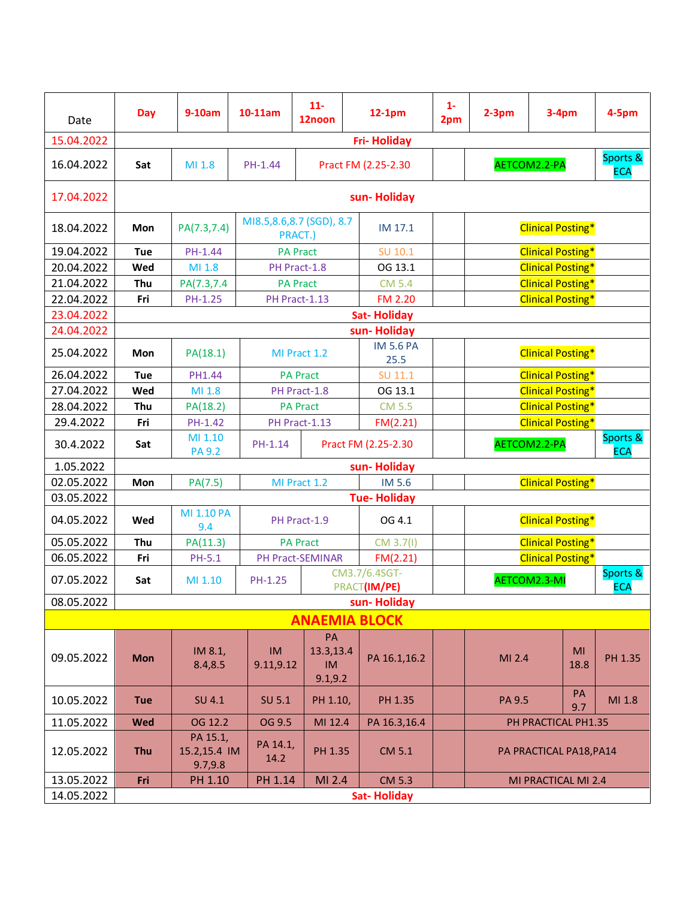| Date       | Day        | $9-10am$                             | 10-11am                  | $11 -$<br>12noon                         | $12-1pm$                      | $1 -$<br>2pm | $2-3pm$ | $3-4pm$                  |                  | 4-5pm                  |
|------------|------------|--------------------------------------|--------------------------|------------------------------------------|-------------------------------|--------------|---------|--------------------------|------------------|------------------------|
| 15.04.2022 |            |                                      |                          |                                          | <b>Fri-Holiday</b>            |              |         |                          |                  |                        |
| 16.04.2022 | Sat        | MI 1.8                               | PH-1.44                  |                                          | Pract FM (2.25-2.30           |              |         | AETCOM2.2-PA             |                  | Sports &<br><b>ECA</b> |
| 17.04.2022 |            |                                      |                          |                                          | sun-Holiday                   |              |         |                          |                  |                        |
| 18.04.2022 | Mon        | PA(7.3,7.4)                          | MI8.5,8.6,8.7 (SGD), 8.7 | PRACT.)                                  | IM 17.1                       |              |         | <b>Clinical Posting*</b> |                  |                        |
| 19.04.2022 | Tue        | PH-1.44                              |                          | <b>PA Pract</b>                          | SU 10.1                       |              |         | <b>Clinical Posting*</b> |                  |                        |
| 20.04.2022 | Wed        | MI 1.8                               |                          | PH Pract-1.8                             | OG 13.1                       |              |         | <b>Clinical Posting*</b> |                  |                        |
| 21.04.2022 | Thu        | PA(7.3,7.4                           |                          | <b>PA Pract</b>                          | <b>CM 5.4</b>                 |              |         | <b>Clinical Posting*</b> |                  |                        |
| 22.04.2022 | Fri        | PH-1.25                              |                          | PH Pract-1.13                            | <b>FM 2.20</b>                |              |         | <b>Clinical Posting*</b> |                  |                        |
| 23.04.2022 |            |                                      |                          |                                          | <b>Sat-Holiday</b>            |              |         |                          |                  |                        |
| 24.04.2022 |            |                                      |                          |                                          | sun-Holiday                   |              |         |                          |                  |                        |
| 25.04.2022 | Mon        | PA(18.1)                             |                          | MI Pract 1.2                             | <b>IM 5.6 PA</b><br>25.5      |              |         | <b>Clinical Posting*</b> |                  |                        |
| 26.04.2022 | Tue        | PH1.44                               |                          | <b>PA Pract</b>                          | SU 11.1                       |              |         | <b>Clinical Posting*</b> |                  |                        |
| 27.04.2022 | Wed        | MI 1.8                               |                          | PH Pract-1.8                             | OG 13.1                       |              |         | <b>Clinical Posting*</b> |                  |                        |
| 28.04.2022 | Thu        | PA(18.2)                             |                          | <b>PA Pract</b>                          | <b>CM 5.5</b>                 |              |         | <b>Clinical Posting*</b> |                  |                        |
| 29.4.2022  | Fri        | PH-1.42                              |                          | PH Pract-1.13                            | FM(2.21)                      |              |         | <b>Clinical Posting*</b> |                  |                        |
| 30.4.2022  | Sat        | MI 1.10<br><b>PA 9.2</b>             | PH-1.14                  |                                          | Pract FM (2.25-2.30           |              |         | AETCOM2.2-PA             |                  | Sports &<br><b>ECA</b> |
| 1.05.2022  |            |                                      |                          |                                          | sun-Holiday                   |              |         |                          |                  |                        |
| 02.05.2022 | Mon        | PA(7.5)                              |                          | MI Pract 1.2                             | IM 5.6                        |              |         | <b>Clinical Posting*</b> |                  |                        |
| 03.05.2022 |            |                                      |                          |                                          | <b>Tue-Holiday</b>            |              |         |                          |                  |                        |
| 04.05.2022 | Wed        | MI 1.10 PA<br>9.4                    |                          | PH Pract-1.9                             | OG 4.1                        |              |         | <b>Clinical Posting*</b> |                  |                        |
| 05.05.2022 | Thu        | PA(11.3)                             |                          | <b>PA Pract</b>                          | CM 3.7(1)                     |              |         | <b>Clinical Posting*</b> |                  |                        |
| 06.05.2022 | Fri        | PH-5.1                               |                          | PH Pract-SEMINAR                         | FM(2.21)                      |              |         | <b>Clinical Posting*</b> |                  |                        |
| 07.05.2022 | Sat        | MI 1.10                              | PH-1.25                  |                                          | CM3.7/6.4SGT-<br>PRACT(IM/PE) |              |         | AETCOM2.3-MI             |                  | Sports &<br><b>ECA</b> |
| 08.05.2022 |            |                                      |                          |                                          | sun-Holiday                   |              |         |                          |                  |                        |
|            |            |                                      |                          |                                          | <b>ANAEMIA BLOCK</b>          |              |         |                          |                  |                        |
| 09.05.2022 | <b>Mon</b> | IM 8.1,<br>8.4,8.5                   | IM<br>9.11,9.12          | PA<br>13.3,13.4<br><b>IM</b><br>9.1, 9.2 | PA 16.1,16.2                  |              | MI 2.4  |                          | MI<br>18.8       | PH 1.35                |
| 10.05.2022 | <b>Tue</b> | <b>SU 4.1</b>                        | SU 5.1                   | PH 1.10,                                 | PH 1.35                       |              | PA 9.5  |                          | <b>PA</b><br>9.7 | MI 1.8                 |
| 11.05.2022 | <b>Wed</b> | OG 12.2                              | OG 9.5                   | MI 12.4                                  | PA 16.3,16.4                  |              |         | PH PRACTICAL PH1.35      |                  |                        |
| 12.05.2022 | Thu        | PA 15.1,<br>15.2,15.4 IM<br>9.7, 9.8 | PA 14.1,<br>14.2         | PH 1.35                                  | CM 5.1                        |              |         | PA PRACTICAL PA18, PA14  |                  |                        |
| 13.05.2022 | Fri        | PH 1.10                              | PH 1.14                  | MI 2.4                                   | CM 5.3                        |              |         | MI PRACTICAL MI 2.4      |                  |                        |
| 14.05.2022 |            |                                      |                          |                                          | <b>Sat-Holiday</b>            |              |         |                          |                  |                        |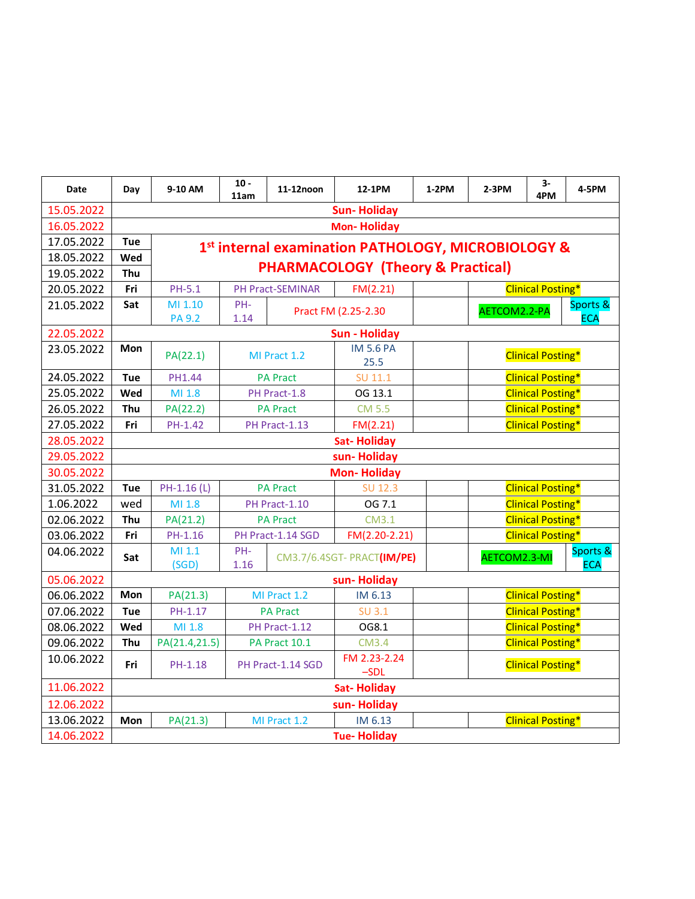| Date                     | Day        | 9-10 AM               | $10 -$<br>11am | 11-12noon                        | 12-1PM                                             | 1-2PM | $2-3PM$                                              | $3-$<br>4PM              | 4-5PM      |  |  |
|--------------------------|------------|-----------------------|----------------|----------------------------------|----------------------------------------------------|-------|------------------------------------------------------|--------------------------|------------|--|--|
| 15.05.2022               |            |                       |                |                                  | <b>Sun-Holiday</b>                                 |       |                                                      |                          |            |  |  |
| 16.05.2022               |            |                       |                |                                  | <b>Mon-Holiday</b>                                 |       |                                                      |                          |            |  |  |
| 17.05.2022               | <b>Tue</b> |                       |                |                                  | 1st internal examination PATHOLOGY, MICROBIOLOGY & |       |                                                      |                          |            |  |  |
| 18.05.2022               | Wed        |                       |                |                                  |                                                    |       |                                                      |                          |            |  |  |
| 19.05.2022               | Thu        |                       |                |                                  | <b>PHARMACOLOGY (Theory &amp; Practical)</b>       |       |                                                      |                          |            |  |  |
| 20.05.2022               | Fri        | PH-5.1                |                | PH Pract-SEMINAR                 | FM(2.21)                                           |       | <b>Clinical Posting*</b>                             |                          |            |  |  |
| 21.05.2022               | Sat        | MI 1.10               | PH-            |                                  | Pract FM (2.25-2.30                                |       | AETCOM2.2-PA                                         |                          | Sports &   |  |  |
|                          |            | <b>PA 9.2</b>         | 1.14           |                                  |                                                    |       |                                                      |                          | <b>ECA</b> |  |  |
| 22.05.2022               |            |                       |                |                                  | <b>Sun - Holiday</b>                               |       |                                                      |                          |            |  |  |
| 23.05.2022               | Mon        | PA(22.1)              |                | MI Pract 1.2                     | <b>IM 5.6 PA</b>                                   |       |                                                      | <b>Clinical Posting*</b> |            |  |  |
| 24.05.2022               |            |                       |                |                                  | 25.5                                               |       |                                                      |                          |            |  |  |
| 25.05.2022               | <b>Tue</b> | <b>PH1.44</b>         |                | <b>PA Pract</b>                  | SU 11.1                                            |       |                                                      | <b>Clinical Posting*</b> |            |  |  |
|                          | Wed        | MI 1.8                |                | PH Pract-1.8                     | OG 13.1                                            |       |                                                      | <b>Clinical Posting*</b> |            |  |  |
| 26.05.2022<br>27.05.2022 | Thu<br>Fri | PA(22.2)<br>PH-1.42   |                | <b>PA Pract</b><br>PH Pract-1.13 | <b>CM 5.5</b>                                      |       | <b>Clinical Posting*</b><br><b>Clinical Posting*</b> |                          |            |  |  |
| 28.05.2022               |            |                       |                |                                  | FM(2.21)                                           |       |                                                      |                          |            |  |  |
|                          |            | <b>Sat-Holiday</b>    |                |                                  |                                                    |       |                                                      |                          |            |  |  |
| 29.05.2022               |            | sun-Holiday           |                |                                  |                                                    |       |                                                      |                          |            |  |  |
| 30.05.2022               |            |                       |                |                                  | <b>Mon-Holiday</b>                                 |       |                                                      |                          |            |  |  |
| 31.05.2022<br>1.06.2022  | <b>Tue</b> | PH-1.16 (L)<br>MI 1.8 |                | <b>PA Pract</b>                  | SU 12.3<br>OG 7.1                                  |       | <b>Clinical Posting*</b><br><b>Clinical Posting*</b> |                          |            |  |  |
| 02.06.2022               | wed<br>Thu | PA(21.2)              |                | PH Pract-1.10<br><b>PA Pract</b> | CM3.1                                              |       | <b>Clinical Posting*</b>                             |                          |            |  |  |
| 03.06.2022               | Fri        | PH-1.16               |                | PH Pract-1.14 SGD                | FM(2.20-2.21)                                      |       |                                                      | <b>Clinical Posting*</b> |            |  |  |
| 04.06.2022               |            | MI 1.1                | PH-            |                                  |                                                    |       |                                                      |                          | Sports &   |  |  |
|                          | Sat        | (SGD)                 | 1.16           |                                  | CM3.7/6.4SGT- PRACT(IM/PE)                         |       | AETCOM2.3-MI                                         |                          | <b>ECA</b> |  |  |
| 05.06.2022               |            |                       |                |                                  | sun-Holiday                                        |       |                                                      |                          |            |  |  |
| 06.06.2022               | Mon        | PA(21.3)              |                | MI Pract 1.2                     | IM 6.13                                            |       |                                                      | <b>Clinical Posting*</b> |            |  |  |
| 07.06.2022               | <b>Tue</b> | PH-1.17               |                | <b>PA Pract</b>                  | <b>SU 3.1</b>                                      |       |                                                      | <b>Clinical Posting*</b> |            |  |  |
| 08.06.2022               | Wed        | MI 1.8                |                | PH Pract-1.12                    | OG8.1                                              |       |                                                      | <b>Clinical Posting*</b> |            |  |  |
| 09.06.2022               | Thu        | PA(21.4,21.5)         |                | PA Pract 10.1                    | <b>CM3.4</b>                                       |       |                                                      | <b>Clinical Posting*</b> |            |  |  |
| 10.06.2022               | Fri        | PH-1.18               |                | PH Pract-1.14 SGD                | FM 2.23-2.24<br>$-SDL$                             |       |                                                      | <b>Clinical Posting*</b> |            |  |  |
| 11.06.2022               |            |                       |                |                                  | <b>Sat-Holiday</b>                                 |       |                                                      |                          |            |  |  |
| 12.06.2022               |            |                       |                |                                  | sun-Holiday                                        |       |                                                      |                          |            |  |  |
| 13.06.2022               | Mon        | PA(21.3)              |                | MI Pract 1.2                     | IM 6.13                                            |       |                                                      | <b>Clinical Posting*</b> |            |  |  |
| 14.06.2022               |            |                       |                |                                  | <b>Tue-Holiday</b>                                 |       |                                                      |                          |            |  |  |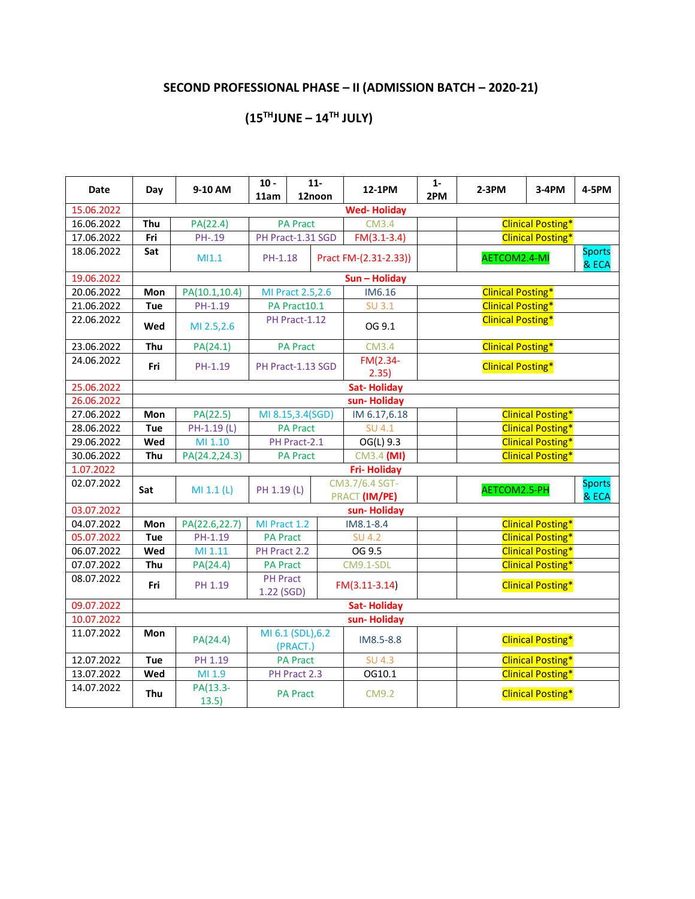## **SECOND PROFESSIONAL PHASE – II (ADMISSION BATCH – 2020-21)**

### **(15THJUNE – 14 TH JULY)**

| <b>Date</b> | Day        | 9-10 AM           | $10 -$<br>11am                                        |                 | $11-$<br>12noon | 12-1PM                          | $1 -$<br>2PM | $2-3PM$                  | $3-4PM$                  | 4-5PM                  |
|-------------|------------|-------------------|-------------------------------------------------------|-----------------|-----------------|---------------------------------|--------------|--------------------------|--------------------------|------------------------|
| 15.06.2022  |            |                   |                                                       |                 |                 | <b>Wed-Holiday</b>              |              |                          |                          |                        |
| 16.06.2022  | Thu        | PA(22.4)          |                                                       | <b>PA Pract</b> |                 | <b>CM3.4</b>                    |              |                          | <b>Clinical Posting*</b> |                        |
| 17.06.2022  | Fri        | PH-.19            | PH Pract-1.31 SGD                                     |                 |                 | $FM(3.1-3.4)$                   |              |                          | <b>Clinical Posting*</b> |                        |
| 18.06.2022  | Sat        | M11.1             | PH-1.18                                               |                 |                 | Pract FM-(2.31-2.33))           |              | AETCOM2.4-MI             |                          | <b>Sports</b><br>& ECA |
| 19.06.2022  |            |                   |                                                       |                 |                 | Sun - Holiday                   |              |                          |                          |                        |
| 20.06.2022  | Mon        | PA(10.1,10.4)     | MI Pract 2.5,2.6                                      |                 |                 | IM6.16                          |              | <b>Clinical Posting*</b> |                          |                        |
| 21.06.2022  | Tue        | PH-1.19           |                                                       | PA Pract10.1    |                 | SU 3.1                          |              | <b>Clinical Posting*</b> |                          |                        |
| 22.06.2022  | Wed        | MI 2.5,2.6        |                                                       | PH Pract-1.12   |                 | OG 9.1                          |              | <b>Clinical Posting*</b> |                          |                        |
| 23.06.2022  | Thu        | PA(24.1)          |                                                       | <b>PA Pract</b> |                 | <b>CM3.4</b>                    |              | <b>Clinical Posting*</b> |                          |                        |
| 24.06.2022  | Fri        | PH-1.19           | PH Pract-1.13 SGD                                     |                 |                 | FM(2.34-<br>2.35)               |              | <b>Clinical Posting*</b> |                          |                        |
| 25.06.2022  |            |                   |                                                       |                 |                 | <b>Sat-Holiday</b>              |              |                          |                          |                        |
| 26.06.2022  |            |                   |                                                       |                 |                 | sun-Holiday                     |              |                          |                          |                        |
| 27.06.2022  | Mon        | PA(22.5)          | MI 8.15,3.4(SGD)                                      |                 |                 | IM 6.17,6.18                    |              |                          | <b>Clinical Posting*</b> |                        |
| 28.06.2022  | <b>Tue</b> | PH-1.19 (L)       |                                                       | <b>PA Pract</b> |                 | <b>SU 4.1</b>                   |              |                          | <b>Clinical Posting*</b> |                        |
| 29.06.2022  | Wed        | MI 1.10           | <b>Clinical Posting*</b><br>PH Pract-2.1<br>OG(L) 9.3 |                 |                 |                                 |              |                          |                          |                        |
| 30.06.2022  | Thu        | PA(24.2,24.3)     |                                                       | PA Pract        |                 | CM3.4 (MI)                      |              | <b>Clinical Posting*</b> |                          |                        |
| 1.07.2022   |            |                   |                                                       |                 |                 | <b>Fri-Holiday</b>              |              |                          |                          |                        |
| 02.07.2022  | Sat        | MI 1.1 (L)        | PH 1.19 (L)                                           |                 |                 | CM3.7/6.4 SGT-<br>PRACT (IM/PE) |              | AETCOM2.5-PH             |                          | <b>Sports</b><br>& ECA |
| 03.07.2022  |            |                   |                                                       |                 |                 | sun-Holiday                     |              |                          |                          |                        |
| 04.07.2022  | Mon        | PA(22.6,22.7)     | MI Pract 1.2                                          |                 |                 | IM8.1-8.4                       |              |                          | <b>Clinical Posting*</b> |                        |
| 05.07.2022  | Tue        | PH-1.19           | <b>PA Pract</b>                                       |                 |                 | <b>SU 4.2</b>                   |              |                          | <b>Clinical Posting*</b> |                        |
| 06.07.2022  | Wed        | MI 1.11           | PH Pract 2.2                                          |                 |                 | OG 9.5                          |              |                          | <b>Clinical Posting*</b> |                        |
| 07.07.2022  | Thu        | PA(24.4)          | <b>PA Pract</b>                                       |                 |                 | CM9.1-SDL                       |              |                          | <b>Clinical Posting*</b> |                        |
| 08.07.2022  | Fri        | PH 1.19           | <b>PH Pract</b><br>1.22 (SGD)                         |                 |                 | $FM(3.11-3.14)$                 |              |                          | <b>Clinical Posting*</b> |                        |
| 09.07.2022  |            |                   |                                                       |                 |                 | <b>Sat-Holiday</b>              |              |                          |                          |                        |
| 10.07.2022  |            |                   |                                                       |                 |                 | sun-Holiday                     |              |                          |                          |                        |
| 11.07.2022  | Mon        | PA(24.4)          | MI 6.1 (SDL), 6.2                                     | (PRACT.)        |                 | IM8.5-8.8                       |              |                          | <b>Clinical Posting*</b> |                        |
| 12.07.2022  | <b>Tue</b> | PH 1.19           |                                                       | <b>PA Pract</b> |                 | <b>SU 4.3</b>                   |              |                          | <b>Clinical Posting*</b> |                        |
| 13.07.2022  | Wed        | MI 1.9            |                                                       | PH Pract 2.3    |                 | OG10.1                          |              |                          | <b>Clinical Posting*</b> |                        |
| 14.07.2022  | Thu        | PA(13.3-<br>13.5) |                                                       | <b>PA Pract</b> |                 | <b>CM9.2</b>                    |              |                          | <b>Clinical Posting*</b> |                        |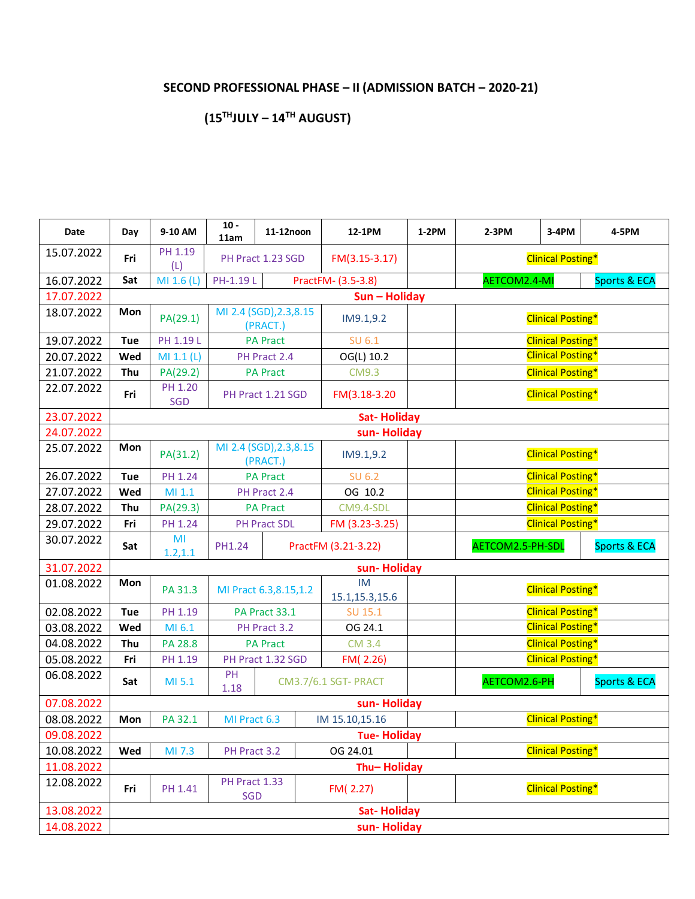## **SECOND PROFESSIONAL PHASE – II (ADMISSION BATCH – 2020-21)**

### **(15THJULY – 14 TH AUGUST)**

| Date       | Day | 9-10 AM               | $10 -$<br>11am              | 11-12noon                           | 12-1PM                        | $1-2PM$ | $2-3PM$                  | 3-4PM                    | 4-5PM                   |  |  |
|------------|-----|-----------------------|-----------------------------|-------------------------------------|-------------------------------|---------|--------------------------|--------------------------|-------------------------|--|--|
| 15.07.2022 | Fri | PH 1.19<br>(L)        |                             | PH Pract 1.23 SGD                   | FM(3.15-3.17)                 |         |                          | <b>Clinical Posting*</b> |                         |  |  |
| 16.07.2022 | Sat | MI 1.6 (L)            | PH-1.19L                    |                                     | PractFM- (3.5-3.8)            |         | AETCOM2.4-MI             |                          | <b>Sports &amp; ECA</b> |  |  |
| 17.07.2022 |     |                       |                             |                                     | Sun - Holiday                 |         |                          |                          |                         |  |  |
| 18.07.2022 | Mon | PA(29.1)              |                             | MI 2.4 (SGD), 2.3, 8.15<br>(PRACT.) | IM9.1,9.2                     |         |                          | <b>Clinical Posting*</b> |                         |  |  |
| 19.07.2022 | Tue | PH 1.19 L             |                             | <b>PA Pract</b>                     | SU 6.1                        |         | <b>Clinical Posting*</b> |                          |                         |  |  |
| 20.07.2022 | Wed | MI 1.1 (L)            |                             | PH Pract 2.4                        | OG(L) 10.2                    |         |                          | <b>Clinical Posting*</b> |                         |  |  |
| 21.07.2022 | Thu | PA(29.2)              |                             | <b>PA Pract</b>                     | <b>CM9.3</b>                  |         |                          | <b>Clinical Posting*</b> |                         |  |  |
| 22.07.2022 | Fri | PH 1.20<br><b>SGD</b> |                             | PH Pract 1.21 SGD                   | FM(3.18-3.20                  |         |                          | <b>Clinical Posting*</b> |                         |  |  |
| 23.07.2022 |     |                       |                             |                                     | <b>Sat-Holiday</b>            |         |                          |                          |                         |  |  |
| 24.07.2022 |     |                       |                             |                                     | sun-Holiday                   |         |                          |                          |                         |  |  |
| 25.07.2022 | Mon | PA(31.2)              |                             | MI 2.4 (SGD), 2.3, 8.15<br>(PRACT.) | IM9.1,9.2                     |         |                          | <b>Clinical Posting*</b> |                         |  |  |
| 26.07.2022 | Tue | PH 1.24               |                             | <b>PA Pract</b>                     | <b>SU 6.2</b>                 |         | <b>Clinical Posting*</b> |                          |                         |  |  |
| 27.07.2022 | Wed | MI 1.1                |                             | PH Pract 2.4                        | OG 10.2                       |         |                          | <b>Clinical Posting*</b> |                         |  |  |
| 28.07.2022 | Thu | PA(29.3)              |                             | <b>PA Pract</b>                     | CM9.4-SDL                     |         |                          | <b>Clinical Posting*</b> |                         |  |  |
| 29.07.2022 | Fri | PH 1.24               |                             | PH Pract SDL                        | FM (3.23-3.25)                |         |                          | <b>Clinical Posting*</b> |                         |  |  |
| 30.07.2022 | Sat | MI<br>1.2, 1.1        | PH1.24                      |                                     | PractFM (3.21-3.22)           |         | AETCOM2.5-PH-SDL         |                          | Sports & ECA            |  |  |
| 31.07.2022 |     |                       |                             |                                     | sun-Holiday                   |         |                          |                          |                         |  |  |
| 01.08.2022 | Mon | PA 31.3               |                             | MI Pract 6.3,8.15,1.2               | <b>IM</b><br>15.1, 15.3, 15.6 |         |                          | <b>Clinical Posting*</b> |                         |  |  |
| 02.08.2022 | Tue | PH 1.19               |                             | PA Pract 33.1                       | SU 15.1                       |         |                          | <b>Clinical Posting*</b> |                         |  |  |
| 03.08.2022 | Wed | MI 6.1                |                             | PH Pract 3.2                        | OG 24.1                       |         |                          | <b>Clinical Posting*</b> |                         |  |  |
| 04.08.2022 | Thu | PA 28.8               |                             | <b>PA Pract</b>                     | <b>CM 3.4</b>                 |         |                          | <b>Clinical Posting*</b> |                         |  |  |
| 05.08.2022 | Fri | PH 1.19               |                             | PH Pract 1.32 SGD                   | FM(2.26)                      |         |                          | <b>Clinical Posting*</b> |                         |  |  |
| 06.08.2022 | Sat | MI 5.1                | PH<br>1.18                  |                                     | <b>CM3.7/6.1 SGT- PRACT</b>   |         | AETCOM2.6-PH             |                          | Sports & ECA            |  |  |
| 07.08.2022 |     |                       |                             |                                     | sun-Holiday                   |         |                          |                          |                         |  |  |
| 08.08.2022 | Mon | PA 32.1               | MI Pract 6.3                |                                     | IM 15.10,15.16                |         |                          | <b>Clinical Posting*</b> |                         |  |  |
| 09.08.2022 |     |                       |                             |                                     | <b>Tue-Holiday</b>            |         |                          |                          |                         |  |  |
| 10.08.2022 | Wed | MI 7.3                | PH Pract 3.2                |                                     | OG 24.01                      |         |                          | <b>Clinical Posting*</b> |                         |  |  |
| 11.08.2022 |     |                       |                             |                                     | Thu-Holiday                   |         |                          |                          |                         |  |  |
| 12.08.2022 | Fri | PH 1.41               | PH Pract 1.33<br><b>SGD</b> |                                     | FM(2.27)                      |         |                          | <b>Clinical Posting*</b> |                         |  |  |
| 13.08.2022 |     |                       |                             |                                     | <b>Sat-Holiday</b>            |         |                          |                          |                         |  |  |
| 14.08.2022 |     |                       |                             |                                     | sun-Holiday                   |         |                          |                          |                         |  |  |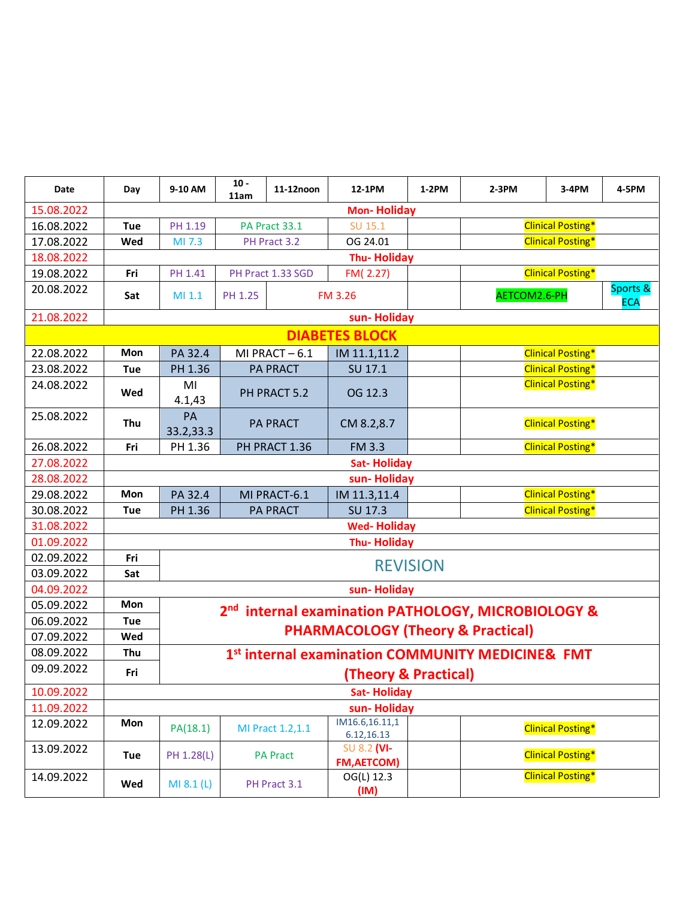| Date       | Day        | 9-10 AM         | $10 -$<br>11am | 11-12noon         | 12-1PM                                       | $1-2PM$         | $2-3PM$                                                        | 3-4PM                    | 4-5PM                  |
|------------|------------|-----------------|----------------|-------------------|----------------------------------------------|-----------------|----------------------------------------------------------------|--------------------------|------------------------|
| 15.08.2022 |            |                 |                |                   | <b>Mon-Holiday</b>                           |                 |                                                                |                          |                        |
| 16.08.2022 | Tue        | PH 1.19         |                | PA Pract 33.1     | SU 15.1                                      |                 |                                                                | <b>Clinical Posting*</b> |                        |
| 17.08.2022 | Wed        | MI 7.3          |                | PH Pract 3.2      | OG 24.01                                     |                 |                                                                | <b>Clinical Posting*</b> |                        |
| 18.08.2022 |            |                 |                |                   | <b>Thu-Holiday</b>                           |                 |                                                                |                          |                        |
| 19.08.2022 | Fri        | PH 1.41         |                | PH Pract 1.33 SGD | FM(2.27)                                     |                 |                                                                | <b>Clinical Posting*</b> |                        |
| 20.08.2022 | Sat        | MI 1.1          | PH 1.25        |                   | <b>FM 3.26</b>                               |                 | AETCOM2.6-PH                                                   |                          | Sports &<br><b>ECA</b> |
| 21.08.2022 |            |                 |                |                   | sun-Holiday                                  |                 |                                                                |                          |                        |
|            |            |                 |                |                   | <b>DIABETES BLOCK</b>                        |                 |                                                                |                          |                        |
| 22.08.2022 | Mon        | PA 32.4         |                | MI PRACT-6.1      | IM 11.1,11.2                                 |                 |                                                                | <b>Clinical Posting*</b> |                        |
| 23.08.2022 | Tue        | PH 1.36         |                | <b>PA PRACT</b>   | SU 17.1                                      |                 |                                                                | <b>Clinical Posting*</b> |                        |
| 24.08.2022 | Wed        | MI<br>4.1,43    |                | PH PRACT 5.2      | OG 12.3                                      |                 |                                                                | <b>Clinical Posting*</b> |                        |
| 25.08.2022 | Thu        | PA<br>33.2,33.3 |                | <b>PA PRACT</b>   | CM 8.2,8.7                                   |                 |                                                                | <b>Clinical Posting*</b> |                        |
| 26.08.2022 | Fri        | PH 1.36         |                | PH PRACT 1.36     | <b>FM 3.3</b>                                |                 | <b>Clinical Posting*</b>                                       |                          |                        |
| 27.08.2022 |            |                 |                |                   | <b>Sat-Holiday</b>                           |                 |                                                                |                          |                        |
| 28.08.2022 |            |                 |                |                   | sun-Holiday                                  |                 |                                                                |                          |                        |
| 29.08.2022 | Mon        | PA 32.4         |                | MI PRACT-6.1      | IM 11.3,11.4                                 |                 |                                                                | <b>Clinical Posting*</b> |                        |
| 30.08.2022 | Tue        | PH 1.36         |                | <b>PA PRACT</b>   | SU 17.3                                      |                 |                                                                | <b>Clinical Posting*</b> |                        |
| 31.08.2022 |            |                 |                |                   | <b>Wed-Holiday</b>                           |                 |                                                                |                          |                        |
| 01.09.2022 |            |                 |                |                   | <b>Thu-Holiday</b>                           |                 |                                                                |                          |                        |
| 02.09.2022 | Fri        |                 |                |                   |                                              | <b>REVISION</b> |                                                                |                          |                        |
| 03.09.2022 | Sat        |                 |                |                   |                                              |                 |                                                                |                          |                        |
| 04.09.2022 |            |                 |                |                   | sun-Holiday                                  |                 |                                                                |                          |                        |
| 05.09.2022 | Mon        |                 |                |                   |                                              |                 | 2 <sup>nd</sup> internal examination PATHOLOGY, MICROBIOLOGY & |                          |                        |
| 06.09.2022 | <b>Tue</b> |                 |                |                   | <b>PHARMACOLOGY (Theory &amp; Practical)</b> |                 |                                                                |                          |                        |
| 07.09.2022 | Wed        |                 |                |                   |                                              |                 |                                                                |                          |                        |
| 08.09.2022 | Thu        |                 |                |                   |                                              |                 | 1st internal examination COMMUNITY MEDICINE& FMT               |                          |                        |
| 09.09.2022 | Fri        |                 |                |                   | (Theory & Practical)                         |                 |                                                                |                          |                        |
| 10.09.2022 |            |                 |                |                   | <b>Sat-Holiday</b>                           |                 |                                                                |                          |                        |
| 11.09.2022 |            |                 |                |                   | sun-Holiday                                  |                 |                                                                |                          |                        |
| 12.09.2022 | Mon        | PA(18.1)        |                | MI Pract 1.2,1.1  | IM16.6,16.11,1<br>6.12,16.13                 |                 |                                                                | <b>Clinical Posting*</b> |                        |
| 13.09.2022 | Tue        | PH 1.28(L)      |                | <b>PA Pract</b>   | SU 8.2 (VI-<br><b>FM, AETCOM)</b>            |                 |                                                                | <b>Clinical Posting*</b> |                        |
| 14.09.2022 | Wed        | MI 8.1 (L)      |                | PH Pract 3.1      | OG(L) 12.3<br>(IM)                           |                 |                                                                | <b>Clinical Posting*</b> |                        |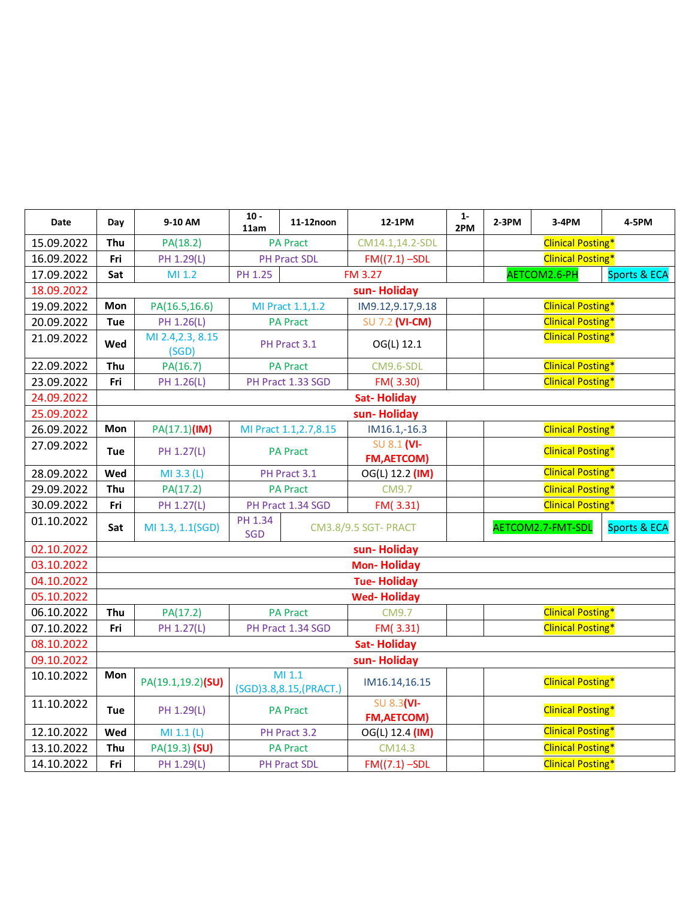| Date       | Day        | 9-10 AM                    | $10 -$<br>11am | 11-12noon                         | 12-1PM                            | $1 -$<br>2PM | $2-3PM$                  | 3-4PM                    | 4-5PM                   |  |  |
|------------|------------|----------------------------|----------------|-----------------------------------|-----------------------------------|--------------|--------------------------|--------------------------|-------------------------|--|--|
| 15.09.2022 | Thu        | PA(18.2)                   |                | <b>PA Pract</b>                   | CM14.1,14.2-SDL                   |              |                          | <b>Clinical Posting*</b> |                         |  |  |
| 16.09.2022 | Fri        | PH 1.29(L)                 |                | <b>PH Pract SDL</b>               | $FM((7.1) - SDL)$                 |              |                          | <b>Clinical Posting*</b> |                         |  |  |
| 17.09.2022 | Sat        | MI 1.2                     | PH 1.25        |                                   | <b>FM 3.27</b>                    |              |                          | AETCOM2.6-PH             | <b>Sports &amp; ECA</b> |  |  |
| 18.09.2022 |            |                            |                |                                   | sun-Holiday                       |              |                          |                          |                         |  |  |
| 19.09.2022 | Mon        | PA(16.5,16.6)              |                | MI Pract 1.1,1.2                  | IM9.12,9.17,9.18                  |              | <b>Clinical Posting*</b> |                          |                         |  |  |
| 20.09.2022 | Tue        | PH 1.26(L)                 |                | <b>PA Pract</b>                   | <b>SU 7.2 (VI-CM)</b>             |              |                          | <b>Clinical Posting*</b> |                         |  |  |
| 21.09.2022 | Wed        | MI 2.4, 2.3, 8.15<br>(SGD) |                | PH Pract 3.1                      | OG(L) 12.1                        |              |                          | <b>Clinical Posting*</b> |                         |  |  |
| 22.09.2022 | Thu        | PA(16.7)                   |                | <b>PA Pract</b>                   | CM9.6-SDL                         |              |                          | <b>Clinical Posting*</b> |                         |  |  |
| 23.09.2022 | Fri        | PH 1.26(L)                 |                | PH Pract 1.33 SGD                 | FM(3.30)                          |              |                          | <b>Clinical Posting*</b> |                         |  |  |
| 24.09.2022 |            |                            |                |                                   | <b>Sat-Holiday</b>                |              |                          |                          |                         |  |  |
| 25.09.2022 |            |                            |                |                                   | sun-Holiday                       |              |                          |                          |                         |  |  |
| 26.09.2022 | Mon        | PA(17.1)(IM)               |                | MI Pract 1.1, 2.7, 8.15           | $IM16.1,-16.3$                    |              |                          | <b>Clinical Posting*</b> |                         |  |  |
| 27.09.2022 | <b>Tue</b> | PH 1.27(L)                 |                | <b>PA Pract</b>                   | SU 8.1 (VI-<br><b>FM, AETCOM)</b> |              | <b>Clinical Posting*</b> |                          |                         |  |  |
| 28.09.2022 | Wed        | MI 3.3 (L)                 |                | PH Pract 3.1                      | OG(L) 12.2 (IM)                   |              |                          | <b>Clinical Posting*</b> |                         |  |  |
| 29.09.2022 | Thu        | PA(17.2)                   |                | <b>PA Pract</b>                   | <b>CM9.7</b>                      |              |                          | <b>Clinical Posting*</b> |                         |  |  |
| 30.09.2022 | Fri        | PH 1.27(L)                 |                | PH Pract 1.34 SGD                 | FM(3.31)                          |              |                          | <b>Clinical Posting*</b> |                         |  |  |
| 01.10.2022 | Sat        | MI 1.3, 1.1(SGD)           | PH 1.34<br>SGD |                                   | <b>CM3.8/9.5 SGT- PRACT</b>       |              |                          | AETCOM2.7-FMT-SDL        | <b>Sports &amp; ECA</b> |  |  |
| 02.10.2022 |            |                            |                |                                   | sun-Holiday                       |              |                          |                          |                         |  |  |
| 03.10.2022 |            |                            |                |                                   | <b>Mon-Holiday</b>                |              |                          |                          |                         |  |  |
| 04.10.2022 |            |                            |                |                                   | <b>Tue-Holiday</b>                |              |                          |                          |                         |  |  |
| 05.10.2022 |            |                            |                |                                   | <b>Wed-Holiday</b>                |              |                          |                          |                         |  |  |
| 06.10.2022 | Thu        | PA(17.2)                   |                | <b>PA Pract</b>                   | <b>CM9.7</b>                      |              |                          | <b>Clinical Posting*</b> |                         |  |  |
| 07.10.2022 | Fri        | PH 1.27(L)                 |                | PH Pract 1.34 SGD                 | FM(3.31)                          |              |                          | <b>Clinical Posting*</b> |                         |  |  |
| 08.10.2022 |            |                            |                |                                   | <b>Sat-Holiday</b>                |              |                          |                          |                         |  |  |
| 09.10.2022 |            |                            |                |                                   | sun-Holiday                       |              |                          |                          |                         |  |  |
| 10.10.2022 | Mon        | PA(19.1,19.2)(SU)          |                | MI 1.1<br>(SGD)3.8,8.15, (PRACT.) | IM16.14,16.15                     |              |                          | <b>Clinical Posting*</b> |                         |  |  |
| 11.10.2022 | <b>Tue</b> | PH 1.29(L)                 |                | <b>PA Pract</b>                   | SU 8.3(VI-<br><b>FM, AETCOM)</b>  |              |                          | <b>Clinical Posting*</b> |                         |  |  |
| 12.10.2022 | Wed        | MI 1.1 (L)                 |                | PH Pract 3.2                      | OG(L) 12.4 (IM)                   |              |                          | <b>Clinical Posting*</b> |                         |  |  |
| 13.10.2022 | Thu        | PA(19.3) (SU)              |                | <b>PA Pract</b>                   | CM14.3                            |              |                          | <b>Clinical Posting*</b> |                         |  |  |
| 14.10.2022 | Fri        | PH 1.29(L)                 |                | <b>PH Pract SDL</b>               | $FM((7.1) - SDL)$                 |              | <b>Clinical Posting*</b> |                          |                         |  |  |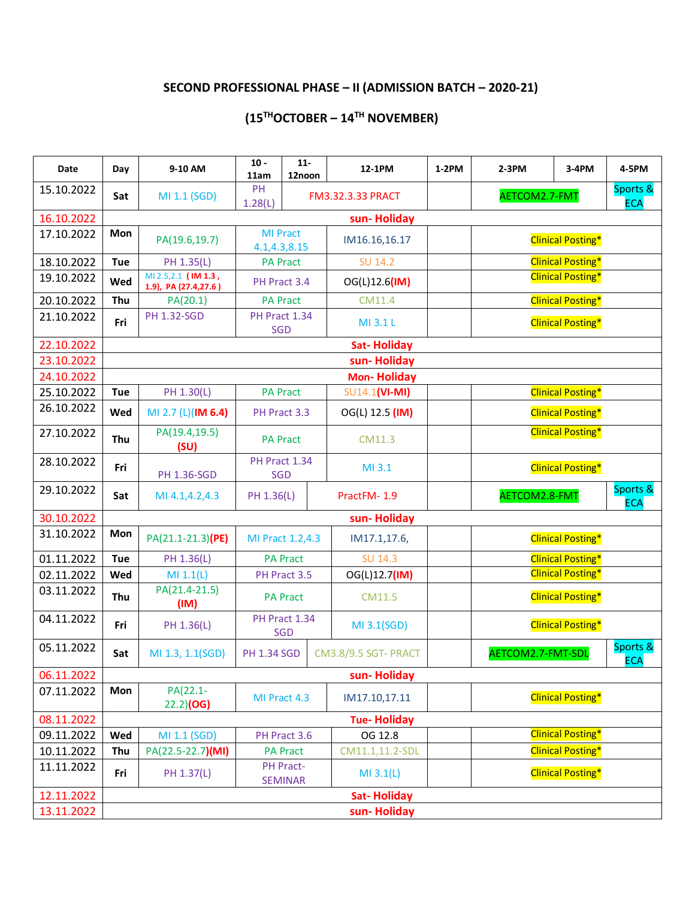## **SECOND PROFESSIONAL PHASE – II (ADMISSION BATCH – 2020-21)**

#### **(15THOCTOBER – 14 TH NOVEMBER)**

| Date       | Day        | 9-10 AM                                     | $10 -$<br>11am       | $11-$<br>12noon             | 12-1PM                      | 1-2PM | $2-3PM$           | 3-4PM                    | 4-5PM                  |
|------------|------------|---------------------------------------------|----------------------|-----------------------------|-----------------------------|-------|-------------------|--------------------------|------------------------|
| 15.10.2022 | Sat        | MI 1.1 (SGD)                                | PH<br>1.28(L)        |                             | <b>FM3.32.3.33 PRACT</b>    |       | AETCOM2.7-FMT     |                          | Sports &<br><b>ECA</b> |
| 16.10.2022 |            |                                             |                      |                             | sun-Holiday                 |       |                   |                          |                        |
| 17.10.2022 | Mon        | PA(19.6,19.7)                               | 4.1,4.3,8.15         | <b>MI Pract</b>             | IM16.16,16.17               |       |                   | <b>Clinical Posting*</b> |                        |
| 18.10.2022 | <b>Tue</b> | PH 1.35(L)                                  |                      | <b>PA Pract</b>             | <b>SU 14.2</b>              |       |                   | <b>Clinical Posting*</b> |                        |
| 19.10.2022 | Wed        | MI 2.5,2.1 (IM 1.3,<br>1.9), PA (27.4,27.6) |                      | PH Pract 3.4                | OG(L)12.6(IM)               |       |                   | <b>Clinical Posting*</b> |                        |
| 20.10.2022 | Thu        | PA(20.1)                                    |                      | <b>PA Pract</b>             | CM11.4                      |       |                   | <b>Clinical Posting*</b> |                        |
| 21.10.2022 | Fri        | <b>PH 1.32-SGD</b>                          | PH Pract 1.34<br>SGD |                             | MI 3.1 L                    |       |                   | <b>Clinical Posting*</b> |                        |
| 22.10.2022 |            |                                             |                      |                             | <b>Sat-Holiday</b>          |       |                   |                          |                        |
| 23.10.2022 |            |                                             |                      |                             | sun-Holiday                 |       |                   |                          |                        |
| 24.10.2022 |            |                                             |                      |                             | <b>Mon-Holiday</b>          |       |                   |                          |                        |
| 25.10.2022 | Tue        | PH 1.30(L)                                  |                      | <b>PA Pract</b>             | SU14.1(VI-MI)               |       |                   | <b>Clinical Posting*</b> |                        |
| 26.10.2022 | Wed        | MI 2.7 (L)(IM 6.4)                          |                      | PH Pract 3.3                | OG(L) 12.5 (IM)             |       |                   | <b>Clinical Posting*</b> |                        |
| 27.10.2022 | Thu        | PA(19.4,19.5)<br>(SU)                       |                      | <b>PA Pract</b>             | CM11.3                      |       |                   | <b>Clinical Posting*</b> |                        |
| 28.10.2022 | Fri        | <b>PH 1.36-SGD</b>                          | PH Pract 1.34<br>SGD |                             | MI 3.1                      |       |                   | <b>Clinical Posting*</b> |                        |
| 29.10.2022 | Sat        | MI 4.1,4.2,4.3                              | PH 1.36(L)           |                             | PractFM-1.9                 |       | AETCOM2.8-FMT     |                          | Sports &<br><b>ECA</b> |
| 30.10.2022 |            |                                             |                      |                             | sun-Holiday                 |       |                   |                          |                        |
| 31.10.2022 | Mon        | PA(21.1-21.3)(PE)                           |                      | MI Pract 1.2,4.3            | IM17.1,17.6,                |       |                   | <b>Clinical Posting*</b> |                        |
| 01.11.2022 | Tue        | PH 1.36(L)                                  |                      | <b>PA Pract</b>             | <b>SU 14.3</b>              |       |                   | <b>Clinical Posting*</b> |                        |
| 02.11.2022 | Wed        | MI 1.1(L)                                   |                      | PH Pract 3.5                | OG(L)12.7(IM)               |       |                   | <b>Clinical Posting*</b> |                        |
| 03.11.2022 | Thu        | PA(21.4-21.5)<br>(IM)                       |                      | <b>PA Pract</b>             | CM11.5                      |       |                   | <b>Clinical Posting*</b> |                        |
| 04.11.2022 | Fri        | PH 1.36(L)                                  |                      | PH Pract 1.34<br><b>SGD</b> | MI 3.1(SGD)                 |       |                   | <b>Clinical Posting*</b> |                        |
| 05.11.2022 | Sat        | MI 1.3, 1.1(SGD)                            | <b>PH 1.34 SGD</b>   |                             | <b>CM3.8/9.5 SGT- PRACT</b> |       | AETCOM2.7-FMT-SDL |                          | Sports &<br><b>ECA</b> |
| 06.11.2022 |            |                                             |                      |                             | sun-Holiday                 |       |                   |                          |                        |
| 07.11.2022 | Mon        | PA(22.1-<br>22.2) (OG)                      |                      | MI Pract 4.3                | IM17.10,17.11               |       |                   | <b>Clinical Posting*</b> |                        |
| 08.11.2022 |            |                                             |                      |                             | <b>Tue-Holiday</b>          |       |                   |                          |                        |
| 09.11.2022 | Wed        | MI 1.1 (SGD)                                |                      | PH Pract 3.6                | OG 12.8                     |       |                   | <b>Clinical Posting*</b> |                        |
| 10.11.2022 | Thu        | PA(22.5-22.7)(MI)                           |                      | <b>PA Pract</b>             | CM11.1,11.2-SDL             |       |                   | <b>Clinical Posting*</b> |                        |
| 11.11.2022 | Fri        | PH 1.37(L)                                  |                      | PH Pract-<br><b>SEMINAR</b> | $MI$ 3.1(L)                 |       |                   | <b>Clinical Posting*</b> |                        |
| 12.11.2022 |            |                                             |                      |                             | <b>Sat-Holiday</b>          |       |                   |                          |                        |
| 13.11.2022 |            |                                             |                      |                             | sun-Holiday                 |       |                   |                          |                        |